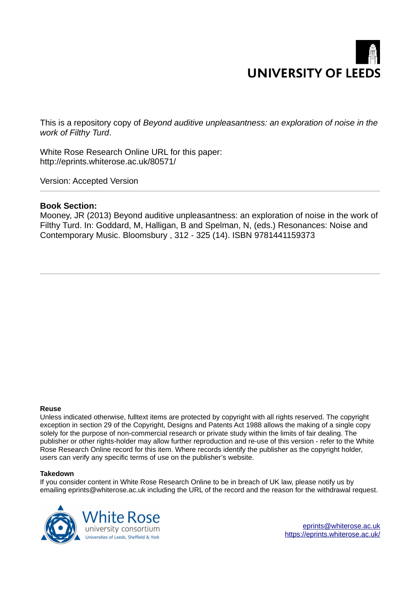# **UNIVERSITY OF LEEDS**

This is a repository copy of *Beyond auditive unpleasantness: an exploration of noise in the work of Filthy Turd*.

White Rose Research Online URL for this paper: http://eprints.whiterose.ac.uk/80571/

Version: Accepted Version

# **Book Section:**

Mooney, JR (2013) Beyond auditive unpleasantness: an exploration of noise in the work of Filthy Turd. In: Goddard, M, Halligan, B and Spelman, N, (eds.) Resonances: Noise and Contemporary Music. Bloomsbury , 312 - 325 (14). ISBN 9781441159373

#### **Reuse**

Unless indicated otherwise, fulltext items are protected by copyright with all rights reserved. The copyright exception in section 29 of the Copyright, Designs and Patents Act 1988 allows the making of a single copy solely for the purpose of non-commercial research or private study within the limits of fair dealing. The publisher or other rights-holder may allow further reproduction and re-use of this version - refer to the White Rose Research Online record for this item. Where records identify the publisher as the copyright holder, users can verify any specific terms of use on the publisher's website.

#### **Takedown**

If you consider content in White Rose Research Online to be in breach of UK law, please notify us by emailing eprints@whiterose.ac.uk including the URL of the record and the reason for the withdrawal request.



[eprints@whiterose.ac.uk](mailto:eprints@whiterose.ac.uk) <https://eprints.whiterose.ac.uk/>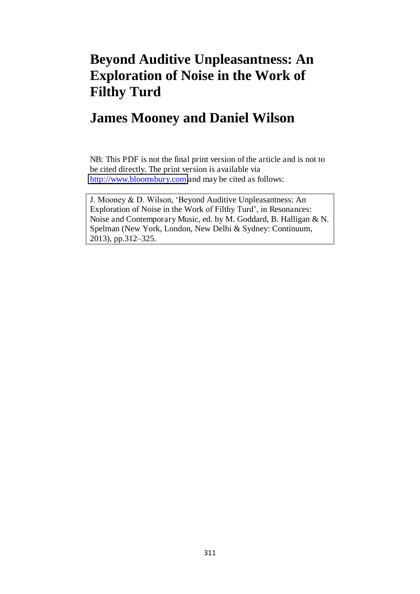# **Beyond Auditive Unpleasantness: An Exploration of Noise in the Work of Filthy Turd**

# **James Mooney and Daniel Wilson**

NB: This PDF is not the final print version of the article and is not to be cited directly. The print version is available via [http://www.bloomsbury.com](http://www.bloomsbury.com/) and may be cited as follows:

J. Mooney & D. Wilson, 'Beyond Auditive Unpleasantness: An Exploration of Noise in the Work of Filthy Turd', in Resonances: Noise and Contemporary Music, ed. by M. Goddard, B. Halligan & N. Spelman (New York, London, New Delhi & Sydney: Continuum, 2013), pp.312–325.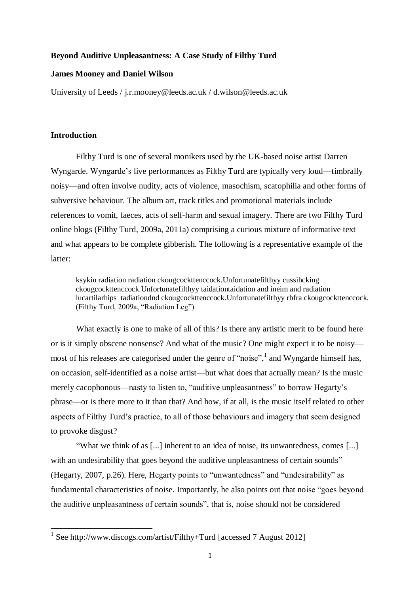#### **Beyond Auditive Unpleasantness: A Case Study of Filthy Turd**

### **James Mooney and Daniel Wilson**

University of Leeds / j.r.mooney@leeds.ac.uk / d.wilson@leeds.ac.uk

# **Introduction**

 $\overline{a}$ 

Filthy Turd is one of several monikers used by the UK-based noise artist Darren Wyngarde. Wyngarde's live performances as Filthy Turd are typically very loud—timbrally noisy—and often involve nudity, acts of violence, masochism, scatophilia and other forms of subversive behaviour. The album art, track titles and promotional materials include references to vomit, faeces, acts of self-harm and sexual imagery. There are two Filthy Turd online blogs (Filthy Turd, 2009a, 2011a) comprising a curious mixture of informative text and what appears to be complete gibberish. The following is a representative example of the latter:

ksykin radiation radiation ckougcockttenccock.Unfortunatefilthyy cussihcking ckougcockttenccock.Unfortunatefilthyy taidationtaidation and ineim and radiation lucartilarhips tadiationdnd ckougcockttenccock.Unfortunatefilthyy rbfra ckougcockttenccock. (Filthy Turd, 2009a, "Radiation Leg")

What exactly is one to make of all of this? Is there any artistic merit to be found here or is it simply obscene nonsense? And what of the music? One might expect it to be noisy most of his releases are categorised under the genre of "noise",<sup>1</sup> and Wyngarde himself has, on occasion, self-identified as a noise artist—but what does that actually mean? Is the music merely cacophonous—nasty to listen to, "auditive unpleasantness" to borrow Hegarty's phrase—or is there more to it than that? And how, if at all, is the music itself related to other aspects of Filthy Turd's practice, to all of those behaviours and imagery that seem designed to provoke disgust?

"What we think of as [...] inherent to an idea of noise, its unwantedness, comes [...] with an undesirability that goes beyond the auditive unpleasantness of certain sounds" (Hegarty, 2007, p.26). Here, Hegarty points to "unwantedness" and "undesirability" as fundamental characteristics of noise. Importantly, he also points out that noise "goes beyond the auditive unpleasantness of certain sounds", that is, noise should not be considered

<sup>&</sup>lt;sup>1</sup> See http://www.discogs.com/artist/Filthy+Turd [accessed 7 August 2012]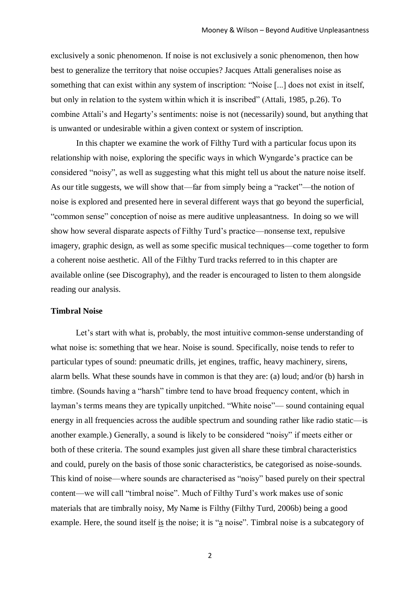exclusively a sonic phenomenon. If noise is not exclusively a sonic phenomenon, then how best to generalize the territory that noise occupies? Jacques Attali generalises noise as something that can exist within any system of inscription: "Noise [...] does not exist in itself, but only in relation to the system within which it is inscribed" (Attali, 1985, p.26). To combine Attali's and Hegarty's sentiments: noise is not (necessarily) sound, but anything that is unwanted or undesirable within a given context or system of inscription.

 In this chapter we examine the work of Filthy Turd with a particular focus upon its relationship with noise, exploring the specific ways in which Wyngarde's practice can be considered "noisy", as well as suggesting what this might tell us about the nature noise itself. As our title suggests, we will show that—far from simply being a "racket"—the notion of noise is explored and presented here in several different ways that go beyond the superficial, "common sense" conception of noise as mere auditive unpleasantness. In doing so we will show how several disparate aspects of Filthy Turd's practice—nonsense text, repulsive imagery, graphic design, as well as some specific musical techniques—come together to form a coherent noise aesthetic. All of the Filthy Turd tracks referred to in this chapter are available online (see Discography), and the reader is encouraged to listen to them alongside reading our analysis.

#### **Timbral Noise**

Let's start with what is, probably, the most intuitive common-sense understanding of what noise is: something that we hear. Noise is sound. Specifically, noise tends to refer to particular types of sound: pneumatic drills, jet engines, traffic, heavy machinery, sirens, alarm bells. What these sounds have in common is that they are: (a) loud; and/or (b) harsh in timbre. (Sounds having a "harsh" timbre tend to have broad frequency content, which in layman's terms means they are typically unpitched. "White noise"— sound containing equal energy in all frequencies across the audible spectrum and sounding rather like radio static—is another example.) Generally, a sound is likely to be considered "noisy" if meets either or both of these criteria. The sound examples just given all share these timbral characteristics and could, purely on the basis of those sonic characteristics, be categorised as noise-sounds. This kind of noise—where sounds are characterised as "noisy" based purely on their spectral content—we will call "timbral noise". Much of Filthy Turd's work makes use of sonic materials that are timbrally noisy, My Name is Filthy (Filthy Turd, 2006b) being a good example. Here, the sound itself is the noise; it is "a noise". Timbral noise is a subcategory of

2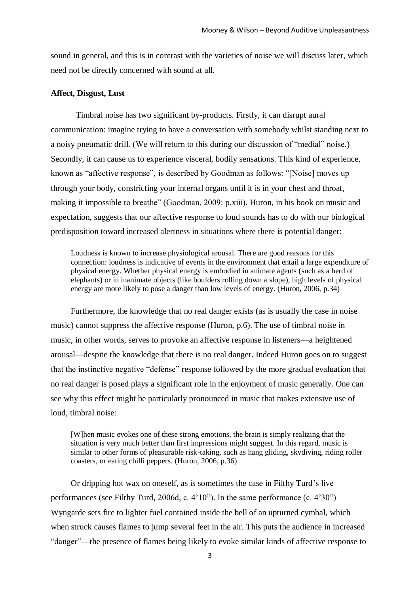sound in general, and this is in contrast with the varieties of noise we will discuss later, which need not be directly concerned with sound at all.

#### **Affect, Disgust, Lust**

Timbral noise has two significant by-products. Firstly, it can disrupt aural communication: imagine trying to have a conversation with somebody whilst standing next to a noisy pneumatic drill. (We will return to this during our discussion of "medial" noise.) Secondly, it can cause us to experience visceral, bodily sensations. This kind of experience, known as "affective response", is described by Goodman as follows: "[Noise] moves up through your body, constricting your internal organs until it is in your chest and throat, making it impossible to breathe" (Goodman, 2009: p.xiii). Huron, in his book on music and expectation, suggests that our affective response to loud sounds has to do with our biological predisposition toward increased alertness in situations where there is potential danger:

Loudness is known to increase physiological arousal. There are good reasons for this connection: loudness is indicative of events in the environment that entail a large expenditure of physical energy. Whether physical energy is embodied in animate agents (such as a herd of elephants) or in inanimate objects (like boulders rolling down a slope), high levels of physical energy are more likely to pose a danger than low levels of energy. (Huron, 2006, p.34)

Furthermore, the knowledge that no real danger exists (as is usually the case in noise music) cannot suppress the affective response (Huron, p.6). The use of timbral noise in music, in other words, serves to provoke an affective response in listeners—a heightened arousal—despite the knowledge that there is no real danger. Indeed Huron goes on to suggest that the instinctive negative "defense" response followed by the more gradual evaluation that no real danger is posed plays a significant role in the enjoyment of music generally. One can see why this effect might be particularly pronounced in music that makes extensive use of loud, timbral noise:

[W]hen music evokes one of these strong emotions, the brain is simply realizing that the situation is very much better than first impressions might suggest. In this regard, music is similar to other forms of pleasurable risk-taking, such as hang gliding, skydiving, riding roller coasters, or eating chilli peppers. (Huron, 2006, p.36)

Or dripping hot wax on oneself, as is sometimes the case in Filthy Turd's live performances (see Filthy Turd, 2006d, c. 4'10"). In the same performance (c. 4'30") Wyngarde sets fire to lighter fuel contained inside the bell of an upturned cymbal, which when struck causes flames to jump several feet in the air. This puts the audience in increased "danger"—the presence of flames being likely to evoke similar kinds of affective response to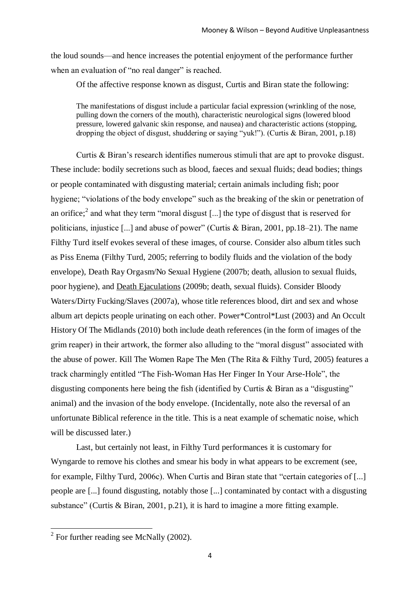the loud sounds—and hence increases the potential enjoyment of the performance further when an evaluation of "no real danger" is reached.

Of the affective response known as disgust, Curtis and Biran state the following:

The manifestations of disgust include a particular facial expression (wrinkling of the nose, pulling down the corners of the mouth), characteristic neurological signs (lowered blood pressure, lowered galvanic skin response, and nausea) and characteristic actions (stopping, dropping the object of disgust, shuddering or saying "yuk!"). (Curtis & Biran, 2001, p.18)

Curtis & Biran's research identifies numerous stimuli that are apt to provoke disgust. These include: bodily secretions such as blood, faeces and sexual fluids; dead bodies; things or people contaminated with disgusting material; certain animals including fish; poor hygiene; "violations of the body envelope" such as the breaking of the skin or penetration of an orifice;<sup>2</sup> and what they term "moral disgust  $[...]$  the type of disgust that is reserved for politicians, injustice [...] and abuse of power" (Curtis & Biran, 2001, pp.18–21). The name Filthy Turd itself evokes several of these images, of course. Consider also album titles such as Piss Enema (Filthy Turd, 2005; referring to bodily fluids and the violation of the body envelope), Death Ray Orgasm/No Sexual Hygiene (2007b; death, allusion to sexual fluids, poor hygiene), and Death Ejaculations (2009b; death, sexual fluids). Consider Bloody Waters/Dirty Fucking/Slaves (2007a), whose title references blood, dirt and sex and whose album art depicts people urinating on each other. Power\*Control\*Lust (2003) and An Occult History Of The Midlands (2010) both include death references (in the form of images of the grim reaper) in their artwork, the former also alluding to the "moral disgust" associated with the abuse of power. Kill The Women Rape The Men (The Rita & Filthy Turd, 2005) features a track charmingly entitled "The Fish-Woman Has Her Finger In Your Arse-Hole", the disgusting components here being the fish (identified by Curtis & Biran as a "disgusting" animal) and the invasion of the body envelope. (Incidentally, note also the reversal of an unfortunate Biblical reference in the title. This is a neat example of schematic noise, which will be discussed later.)

 Last, but certainly not least, in Filthy Turd performances it is customary for Wyngarde to remove his clothes and smear his body in what appears to be excrement (see, for example, Filthy Turd, 2006c). When Curtis and Biran state that "certain categories of [...] people are [...] found disgusting, notably those [...] contaminated by contact with a disgusting substance" (Curtis & Biran, 2001, p.21), it is hard to imagine a more fitting example.

<sup>&</sup>lt;sup>2</sup> For further reading see McNally (2002).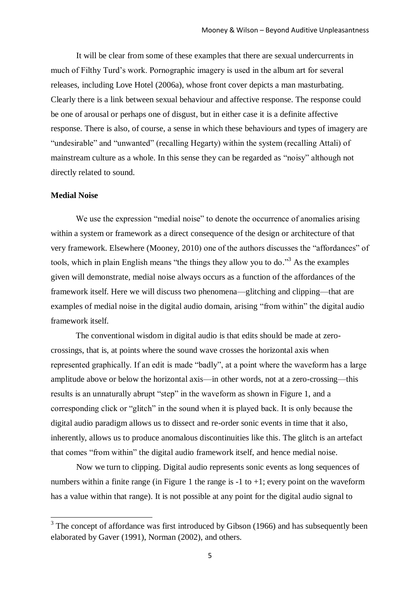It will be clear from some of these examples that there are sexual undercurrents in much of Filthy Turd's work. Pornographic imagery is used in the album art for several releases, including Love Hotel (2006a), whose front cover depicts a man masturbating. Clearly there is a link between sexual behaviour and affective response. The response could be one of arousal or perhaps one of disgust, but in either case it is a definite affective response. There is also, of course, a sense in which these behaviours and types of imagery are "undesirable" and "unwanted" (recalling Hegarty) within the system (recalling Attali) of mainstream culture as a whole. In this sense they can be regarded as "noisy" although not directly related to sound.

#### **Medial Noise**

 $\overline{a}$ 

We use the expression "medial noise" to denote the occurrence of anomalies arising within a system or framework as a direct consequence of the design or architecture of that very framework. Elsewhere (Mooney, 2010) one of the authors discusses the "affordances" of tools, which in plain English means "the things they allow you to do."<sup>3</sup> As the examples given will demonstrate, medial noise always occurs as a function of the affordances of the framework itself. Here we will discuss two phenomena—glitching and clipping—that are examples of medial noise in the digital audio domain, arising "from within" the digital audio framework itself.

The conventional wisdom in digital audio is that edits should be made at zerocrossings, that is, at points where the sound wave crosses the horizontal axis when represented graphically. If an edit is made "badly", at a point where the waveform has a large amplitude above or below the horizontal axis—in other words, not at a zero-crossing—this results is an unnaturally abrupt "step" in the waveform as shown in Figure 1, and a corresponding click or "glitch" in the sound when it is played back. It is only because the digital audio paradigm allows us to dissect and re-order sonic events in time that it also, inherently, allows us to produce anomalous discontinuities like this. The glitch is an artefact that comes "from within" the digital audio framework itself, and hence medial noise.

 Now we turn to clipping. Digital audio represents sonic events as long sequences of numbers within a finite range (in Figure 1 the range is  $-1$  to  $+1$ ; every point on the waveform has a value within that range). It is not possible at any point for the digital audio signal to

 $3$  The concept of affordance was first introduced by Gibson (1966) and has subsequently been elaborated by Gaver (1991), Norman (2002), and others.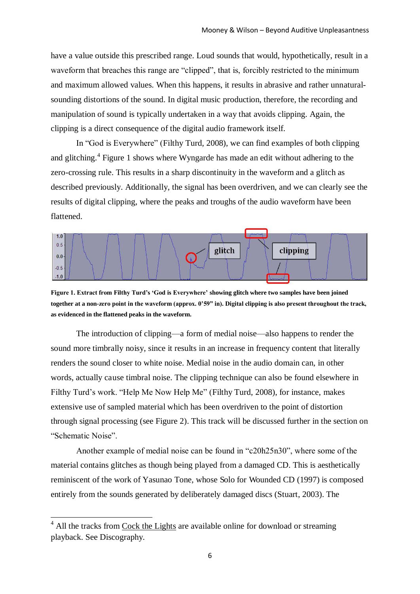have a value outside this prescribed range. Loud sounds that would, hypothetically, result in a waveform that breaches this range are "clipped", that is, forcibly restricted to the minimum and maximum allowed values. When this happens, it results in abrasive and rather unnaturalsounding distortions of the sound. In digital music production, therefore, the recording and manipulation of sound is typically undertaken in a way that avoids clipping. Again, the clipping is a direct consequence of the digital audio framework itself.

In "God is Everywhere" (Filthy Turd, 2008), we can find examples of both clipping and glitching.<sup>4</sup> Figure 1 shows where Wyngarde has made an edit without adhering to the zero-crossing rule. This results in a sharp discontinuity in the waveform and a glitch as described previously. Additionally, the signal has been overdriven, and we can clearly see the results of digital clipping, where the peaks and troughs of the audio waveform have been flattened.



**Figure 1. Extract from Filthy Turd's 'God is Everywhere' showing glitch where two samples have been joined together at a non-zero point in the waveform (approx. 0'59" in). Digital clipping is also present throughout the track, as evidenced in the flattened peaks in the waveform.** 

The introduction of clipping—a form of medial noise—also happens to render the sound more timbrally noisy, since it results in an increase in frequency content that literally renders the sound closer to white noise. Medial noise in the audio domain can, in other words, actually cause timbral noise. The clipping technique can also be found elsewhere in Filthy Turd's work. "Help Me Now Help Me" (Filthy Turd, 2008), for instance, makes extensive use of sampled material which has been overdriven to the point of distortion through signal processing (see Figure 2). This track will be discussed further in the section on "Schematic Noise".

Another example of medial noise can be found in "c20h25n30", where some of the material contains glitches as though being played from a damaged CD. This is aesthetically reminiscent of the work of Yasunao Tone, whose Solo for Wounded CD (1997) is composed entirely from the sounds generated by deliberately damaged discs (Stuart, 2003). The

 $\overline{a}$ 

 $4$  All the tracks from Cock the Lights are available online for download or streaming playback. See Discography.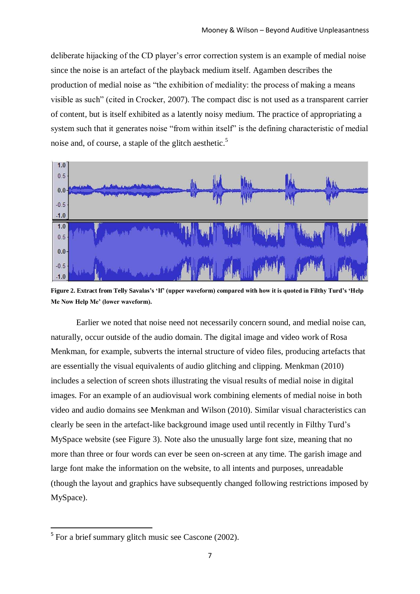deliberate hijacking of the CD player's error correction system is an example of medial noise since the noise is an artefact of the playback medium itself. Agamben describes the production of medial noise as "the exhibition of mediality: the process of making a means visible as such" (cited in Crocker, 2007). The compact disc is not used as a transparent carrier of content, but is itself exhibited as a latently noisy medium. The practice of appropriating a system such that it generates noise "from within itself" is the defining characteristic of medial noise and, of course, a staple of the glitch aesthetic. 5



**Figure 2. Extract from Telly Savalas's 'If' (upper waveform) compared with how it is quoted in Filthy Turd's 'Help Me Now Help Me' (lower waveform).**

Earlier we noted that noise need not necessarily concern sound, and medial noise can, naturally, occur outside of the audio domain. The digital image and video work of Rosa Menkman, for example, subverts the internal structure of video files, producing artefacts that are essentially the visual equivalents of audio glitching and clipping. Menkman (2010) includes a selection of screen shots illustrating the visual results of medial noise in digital images. For an example of an audiovisual work combining elements of medial noise in both video and audio domains see Menkman and Wilson (2010). Similar visual characteristics can clearly be seen in the artefact-like background image used until recently in Filthy Turd's MySpace website (see Figure 3). Note also the unusually large font size, meaning that no more than three or four words can ever be seen on-screen at any time. The garish image and large font make the information on the website, to all intents and purposes, unreadable (though the layout and graphics have subsequently changed following restrictions imposed by MySpace).

<u>.</u>

<sup>&</sup>lt;sup>5</sup> For a brief summary glitch music see Cascone (2002).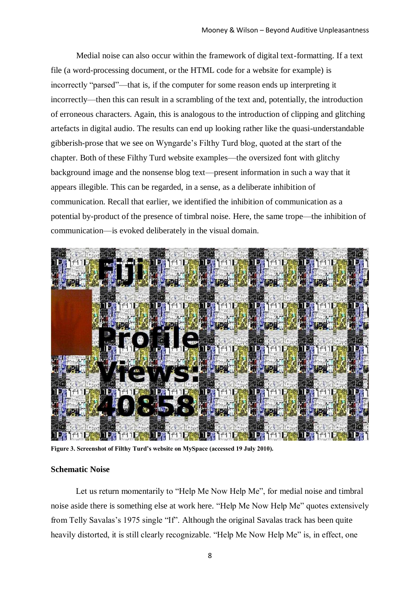Medial noise can also occur within the framework of digital text-formatting. If a text file (a word-processing document, or the HTML code for a website for example) is incorrectly "parsed"—that is, if the computer for some reason ends up interpreting it incorrectly—then this can result in a scrambling of the text and, potentially, the introduction of erroneous characters. Again, this is analogous to the introduction of clipping and glitching artefacts in digital audio. The results can end up looking rather like the quasi-understandable gibberish-prose that we see on Wyngarde's Filthy Turd blog, quoted at the start of the chapter. Both of these Filthy Turd website examples—the oversized font with glitchy background image and the nonsense blog text—present information in such a way that it appears illegible. This can be regarded, in a sense, as a deliberate inhibition of communication. Recall that earlier, we identified the inhibition of communication as a potential by-product of the presence of timbral noise. Here, the same trope—the inhibition of communication—is evoked deliberately in the visual domain.



**Figure 3. Screenshot of Filthy Turd's website on MySpace (accessed 19 July 2010).**

#### **Schematic Noise**

Let us return momentarily to "Help Me Now Help Me", for medial noise and timbral noise aside there is something else at work here. "Help Me Now Help Me" quotes extensively from Telly Savalas's 1975 single "If". Although the original Savalas track has been quite heavily distorted, it is still clearly recognizable. "Help Me Now Help Me" is, in effect, one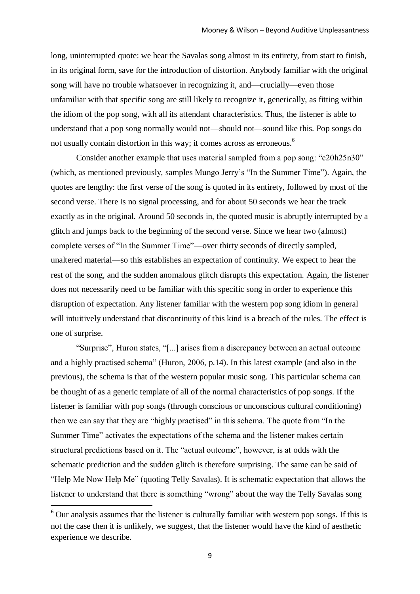long, uninterrupted quote: we hear the Savalas song almost in its entirety, from start to finish, in its original form, save for the introduction of distortion. Anybody familiar with the original song will have no trouble whatsoever in recognizing it, and—crucially—even those unfamiliar with that specific song are still likely to recognize it, generically, as fitting within the idiom of the pop song, with all its attendant characteristics. Thus, the listener is able to understand that a pop song normally would not—should not—sound like this. Pop songs do not usually contain distortion in this way; it comes across as erroneous.<sup>6</sup>

 Consider another example that uses material sampled from a pop song: "c20h25n30" (which, as mentioned previously, samples Mungo Jerry's "In the Summer Time"). Again, the quotes are lengthy: the first verse of the song is quoted in its entirety, followed by most of the second verse. There is no signal processing, and for about 50 seconds we hear the track exactly as in the original. Around 50 seconds in, the quoted music is abruptly interrupted by a glitch and jumps back to the beginning of the second verse. Since we hear two (almost) complete verses of "In the Summer Time"—over thirty seconds of directly sampled, unaltered material—so this establishes an expectation of continuity. We expect to hear the rest of the song, and the sudden anomalous glitch disrupts this expectation. Again, the listener does not necessarily need to be familiar with this specific song in order to experience this disruption of expectation. Any listener familiar with the western pop song idiom in general will intuitively understand that discontinuity of this kind is a breach of the rules. The effect is one of surprise.

"Surprise", Huron states, "[...] arises from a discrepancy between an actual outcome and a highly practised schema" (Huron, 2006, p.14). In this latest example (and also in the previous), the schema is that of the western popular music song. This particular schema can be thought of as a generic template of all of the normal characteristics of pop songs. If the listener is familiar with pop songs (through conscious or unconscious cultural conditioning) then we can say that they are "highly practised" in this schema. The quote from "In the Summer Time" activates the expectations of the schema and the listener makes certain structural predictions based on it. The "actual outcome", however, is at odds with the schematic prediction and the sudden glitch is therefore surprising. The same can be said of "Help Me Now Help Me" (quoting Telly Savalas). It is schematic expectation that allows the listener to understand that there is something "wrong" about the way the Telly Savalas song

 $\overline{a}$ 

 $6$  Our analysis assumes that the listener is culturally familiar with western pop songs. If this is not the case then it is unlikely, we suggest, that the listener would have the kind of aesthetic experience we describe.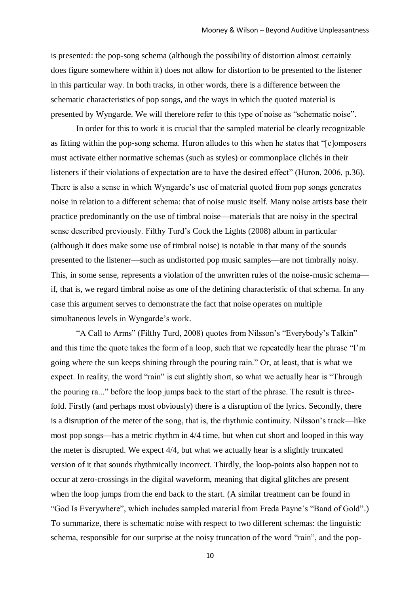is presented: the pop-song schema (although the possibility of distortion almost certainly does figure somewhere within it) does not allow for distortion to be presented to the listener in this particular way. In both tracks, in other words, there is a difference between the schematic characteristics of pop songs, and the ways in which the quoted material is presented by Wyngarde. We will therefore refer to this type of noise as "schematic noise".

 In order for this to work it is crucial that the sampled material be clearly recognizable as fitting within the pop-song schema. Huron alludes to this when he states that "[c]omposers must activate either normative schemas (such as styles) or commonplace clichés in their listeners if their violations of expectation are to have the desired effect" (Huron, 2006, p.36). There is also a sense in which Wyngarde's use of material quoted from pop songs generates noise in relation to a different schema: that of noise music itself. Many noise artists base their practice predominantly on the use of timbral noise—materials that are noisy in the spectral sense described previously. Filthy Turd's Cock the Lights (2008) album in particular (although it does make some use of timbral noise) is notable in that many of the sounds presented to the listener—such as undistorted pop music samples—are not timbrally noisy. This, in some sense, represents a violation of the unwritten rules of the noise-music schema if, that is, we regard timbral noise as one of the defining characteristic of that schema. In any case this argument serves to demonstrate the fact that noise operates on multiple simultaneous levels in Wyngarde's work.

 "A Call to Arms" (Filthy Turd, 2008) quotes from Nilsson's "Everybody's Talkin" and this time the quote takes the form of a loop, such that we repeatedly hear the phrase "I'm going where the sun keeps shining through the pouring rain." Or, at least, that is what we expect. In reality, the word "rain" is cut slightly short, so what we actually hear is "Through the pouring ra..." before the loop jumps back to the start of the phrase. The result is threefold. Firstly (and perhaps most obviously) there is a disruption of the lyrics. Secondly, there is a disruption of the meter of the song, that is, the rhythmic continuity. Nilsson's track—like most pop songs—has a metric rhythm in 4/4 time, but when cut short and looped in this way the meter is disrupted. We expect 4/4, but what we actually hear is a slightly truncated version of it that sounds rhythmically incorrect. Thirdly, the loop-points also happen not to occur at zero-crossings in the digital waveform, meaning that digital glitches are present when the loop jumps from the end back to the start. (A similar treatment can be found in "God Is Everywhere", which includes sampled material from Freda Payne's "Band of Gold".) To summarize, there is schematic noise with respect to two different schemas: the linguistic schema, responsible for our surprise at the noisy truncation of the word "rain", and the pop-

10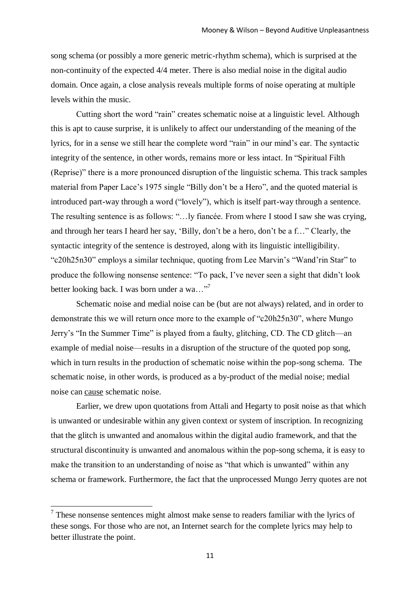song schema (or possibly a more generic metric-rhythm schema), which is surprised at the non-continuity of the expected 4/4 meter. There is also medial noise in the digital audio domain. Once again, a close analysis reveals multiple forms of noise operating at multiple levels within the music.

Cutting short the word "rain" creates schematic noise at a linguistic level. Although this is apt to cause surprise, it is unlikely to affect our understanding of the meaning of the lyrics, for in a sense we still hear the complete word "rain" in our mind's ear. The syntactic integrity of the sentence, in other words, remains more or less intact. In "Spiritual Filth (Reprise)" there is a more pronounced disruption of the linguistic schema. This track samples material from Paper Lace's 1975 single "Billy don't be a Hero", and the quoted material is introduced part-way through a word ("lovely"), which is itself part-way through a sentence. The resulting sentence is as follows: "…ly fiancée. From where I stood I saw she was crying, and through her tears I heard her say, 'Billy, don't be a hero, don't be a f…" Clearly, the syntactic integrity of the sentence is destroyed, along with its linguistic intelligibility. "c20h25n30" employs a similar technique, quoting from Lee Marvin's "Wand'rin Star" to produce the following nonsense sentence: "To pack, I've never seen a sight that didn't look better looking back. I was born under a wa..."<sup>7</sup>

Schematic noise and medial noise can be (but are not always) related, and in order to demonstrate this we will return once more to the example of "c20h25n30", where Mungo Jerry's "In the Summer Time" is played from a faulty, glitching, CD. The CD glitch—an example of medial noise—results in a disruption of the structure of the quoted pop song, which in turn results in the production of schematic noise within the pop-song schema. The schematic noise, in other words, is produced as a by-product of the medial noise; medial noise can cause schematic noise.

 Earlier, we drew upon quotations from Attali and Hegarty to posit noise as that which is unwanted or undesirable within any given context or system of inscription. In recognizing that the glitch is unwanted and anomalous within the digital audio framework, and that the structural discontinuity is unwanted and anomalous within the pop-song schema, it is easy to make the transition to an understanding of noise as "that which is unwanted" within any schema or framework. Furthermore, the fact that the unprocessed Mungo Jerry quotes are not

<u>.</u>

 $<sup>7</sup>$  These nonsense sentences might almost make sense to readers familiar with the lyrics of</sup> these songs. For those who are not, an Internet search for the complete lyrics may help to better illustrate the point.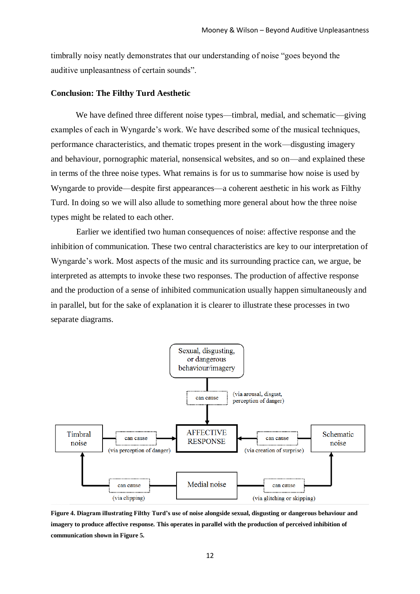timbrally noisy neatly demonstrates that our understanding of noise "goes beyond the auditive unpleasantness of certain sounds".

#### **Conclusion: The Filthy Turd Aesthetic**

We have defined three different noise types—timbral, medial, and schematic—giving examples of each in Wyngarde's work. We have described some of the musical techniques, performance characteristics, and thematic tropes present in the work—disgusting imagery and behaviour, pornographic material, nonsensical websites, and so on—and explained these in terms of the three noise types. What remains is for us to summarise how noise is used by Wyngarde to provide—despite first appearances—a coherent aesthetic in his work as Filthy Turd. In doing so we will also allude to something more general about how the three noise types might be related to each other.

Earlier we identified two human consequences of noise: affective response and the inhibition of communication. These two central characteristics are key to our interpretation of Wyngarde's work. Most aspects of the music and its surrounding practice can, we argue, be interpreted as attempts to invoke these two responses. The production of affective response and the production of a sense of inhibited communication usually happen simultaneously and in parallel, but for the sake of explanation it is clearer to illustrate these processes in two separate diagrams.



**Figure 4. Diagram illustrating Filthy Turd's use of noise alongside sexual, disgusting or dangerous behaviour and imagery to produce affective response. This operates in parallel with the production of perceived inhibition of communication shown in Figure 5.**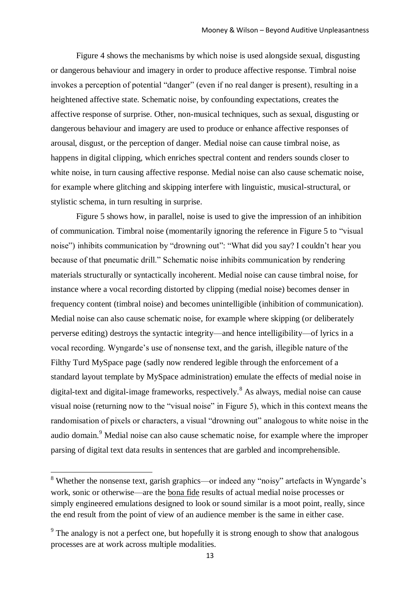Figure 4 shows the mechanisms by which noise is used alongside sexual, disgusting or dangerous behaviour and imagery in order to produce affective response. Timbral noise invokes a perception of potential "danger" (even if no real danger is present), resulting in a heightened affective state. Schematic noise, by confounding expectations, creates the affective response of surprise. Other, non-musical techniques, such as sexual, disgusting or dangerous behaviour and imagery are used to produce or enhance affective responses of arousal, disgust, or the perception of danger. Medial noise can cause timbral noise, as happens in digital clipping, which enriches spectral content and renders sounds closer to white noise, in turn causing affective response. Medial noise can also cause schematic noise, for example where glitching and skipping interfere with linguistic, musical-structural, or stylistic schema, in turn resulting in surprise.

Figure 5 shows how, in parallel, noise is used to give the impression of an inhibition of communication. Timbral noise (momentarily ignoring the reference in Figure 5 to "visual noise") inhibits communication by "drowning out": "What did you say? I couldn't hear you because of that pneumatic drill." Schematic noise inhibits communication by rendering materials structurally or syntactically incoherent. Medial noise can cause timbral noise, for instance where a vocal recording distorted by clipping (medial noise) becomes denser in frequency content (timbral noise) and becomes unintelligible (inhibition of communication). Medial noise can also cause schematic noise, for example where skipping (or deliberately perverse editing) destroys the syntactic integrity—and hence intelligibility—of lyrics in a vocal recording. Wyngarde's use of nonsense text, and the garish, illegible nature of the Filthy Turd MySpace page (sadly now rendered legible through the enforcement of a standard layout template by MySpace administration) emulate the effects of medial noise in digital-text and digital-image frameworks, respectively.<sup>8</sup> As always, medial noise can cause visual noise (returning now to the "visual noise" in Figure 5), which in this context means the randomisation of pixels or characters, a visual "drowning out" analogous to white noise in the audio domain.<sup>9</sup> Medial noise can also cause schematic noise, for example where the improper parsing of digital text data results in sentences that are garbled and incomprehensible.

<u>.</u>

<sup>&</sup>lt;sup>8</sup> Whether the nonsense text, garish graphics—or indeed any "noisy" artefacts in Wyngarde's work, sonic or otherwise—are the bona fide results of actual medial noise processes or simply engineered emulations designed to look or sound similar is a moot point, really, since the end result from the point of view of an audience member is the same in either case.

<sup>&</sup>lt;sup>9</sup> The analogy is not a perfect one, but hopefully it is strong enough to show that analogous processes are at work across multiple modalities.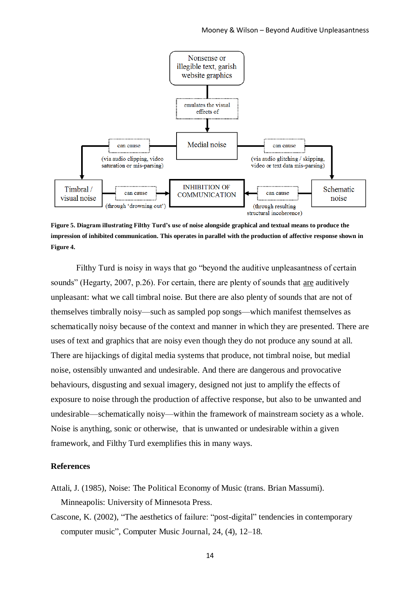

**Figure 5. Diagram illustrating Filthy Turd's use of noise alongside graphical and textual means to produce the impression of inhibited communication. This operates in parallel with the production of affective response shown in Figure 4.**

Filthy Turd is noisy in ways that go "beyond the auditive unpleasantness of certain sounds" (Hegarty, 2007, p.26). For certain, there are plenty of sounds that are auditively unpleasant: what we call timbral noise. But there are also plenty of sounds that are not of themselves timbrally noisy—such as sampled pop songs—which manifest themselves as schematically noisy because of the context and manner in which they are presented. There are uses of text and graphics that are noisy even though they do not produce any sound at all. There are hijackings of digital media systems that produce, not timbral noise, but medial noise, ostensibly unwanted and undesirable. And there are dangerous and provocative behaviours, disgusting and sexual imagery, designed not just to amplify the effects of exposure to noise through the production of affective response, but also to be unwanted and undesirable—schematically noisy—within the framework of mainstream society as a whole. Noise is anything, sonic or otherwise, that is unwanted or undesirable within a given framework, and Filthy Turd exemplifies this in many ways.

#### **References**

- Attali, J. (1985), Noise: The Political Economy of Music (trans. Brian Massumi). Minneapolis: University of Minnesota Press.
- Cascone, K. (2002), "The aesthetics of failure: "post-digital" tendencies in contemporary computer music", Computer Music Journal, 24, (4), 12–18.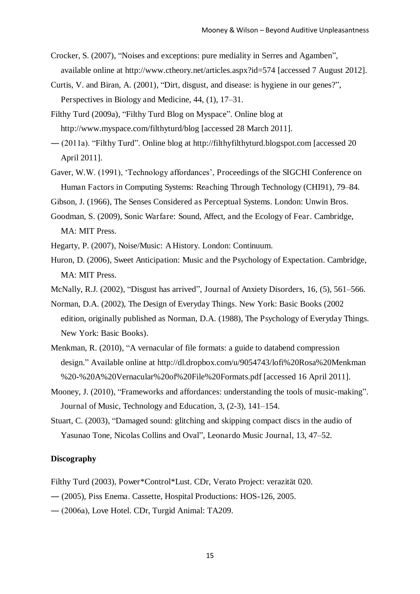- Crocker, S. (2007), "Noises and exceptions: pure mediality in Serres and Agamben", available online at http://www.ctheory.net/articles.aspx?id=574 [accessed 7 August 2012].
- Curtis, V. and Biran, A. (2001), "Dirt, disgust, and disease: is hygiene in our genes?", Perspectives in Biology and Medicine, 44, (1), 17–31.
- Filthy Turd (2009a), "Filthy Turd Blog on Myspace". Online blog at http://www.myspace.com/filthyturd/blog [accessed 28 March 2011].
- \_ (2011a). "Filthy Turd". Online blog at http://filthyfilthyturd.blogspot.com [accessed 20 April 2011].
- Gaver, W.W. (1991), 'Technology affordances', Proceedings of the SIGCHI Conference on Human Factors in Computing Systems: Reaching Through Technology (CHI91), 79–84.
- Gibson, J. (1966), The Senses Considered as Perceptual Systems. London: Unwin Bros.
- Goodman, S. (2009), Sonic Warfare: Sound, Affect, and the Ecology of Fear. Cambridge, MA: MIT Press.
- Hegarty, P. (2007), Noise/Music: A History. London: Continuum.
- Huron, D. (2006), Sweet Anticipation: Music and the Psychology of Expectation. Cambridge, MA: MIT Press.
- McNally, R.J. (2002), "Disgust has arrived", Journal of Anxiety Disorders, 16, (5), 561–566.
- Norman, D.A. (2002), The Design of Everyday Things. New York: Basic Books (2002 edition, originally published as Norman, D.A. (1988), The Psychology of Everyday Things. New York: Basic Books).
- Menkman, R. (2010), "A vernacular of file formats: a guide to databend compression design." Available online at http://dl.dropbox.com/u/9054743/lofi%20Rosa%20Menkman %20-%20A%20Vernacular%20of%20File%20Formats.pdf [accessed 16 April 2011].
- Mooney, J. (2010), "Frameworks and affordances: understanding the tools of music-making". Journal of Music, Technology and Education, 3, (2-3), 141–154.
- Stuart, C. (2003), "Damaged sound: glitching and skipping compact discs in the audio of Yasunao Tone, Nicolas Collins and Oval", Leonardo Music Journal, 13, 47–52.

#### **Discography**

Filthy Turd (2003), Power\*Control\*Lust. CDr, Verato Project: verazität 020.

- \_ (2005), Piss Enema. Cassette, Hospital Productions: HOS-126, 2005.
- \_ (2006a), Love Hotel. CDr, Turgid Animal: TA209.